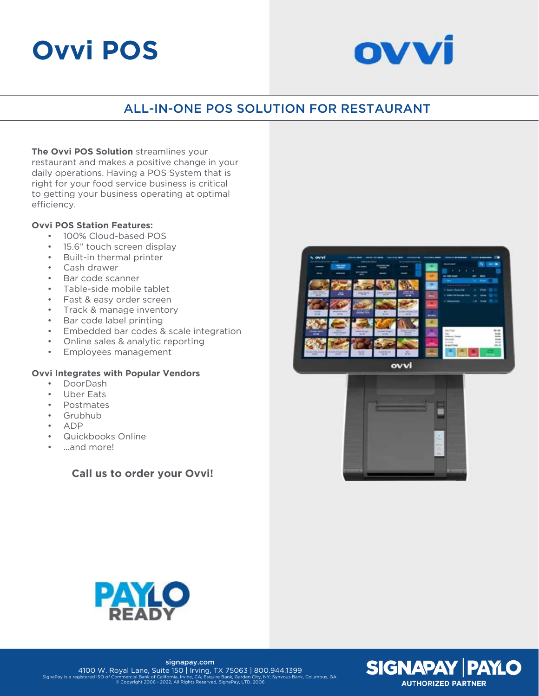# **Ovvi POS**



## ALL-IN-ONE POS SOLUTION FOR RESTAURANT

**The Ovvi POS Solution** streamlines your restaurant and makes a positive change in your daily operations. Having a POS System that is right for your food service business is critical to getting your business operating at optimal efficiency.

#### **Ovvi POS Station Features:**

- 100% Cloud-based POS
- 15.6" touch screen display
- Built-in thermal printer
- Cash drawer
- Bar code scanner
- Table-side mobile tablet
- Fast & easy order screen
- Track & manage inventory
- Bar code label printing
- Embedded bar codes & scale integration
- Online sales & analytic reporting
- Employees management

#### **Ovvi Integrates with Popular Vendors**

- DoorDash
- Uber Eats
- Postmates
- Grubhub
- ADP
- Quickbooks Online
- ...and more!

## **Call us to order your Ovvi!**









signapay.com 4100 W. Royal Lane, Suite 150 | Irving, TX 75063 | 800.944.1399 SignaPay is a registered ISO of Commercial Bank of California, Irvine, CA; Esquire Bank, Garden City, NY; Synvous Bank, Columbus, GA. © Copyright 2006 - 2022, All Rights Reserved, SignaPay, LTD. 2006